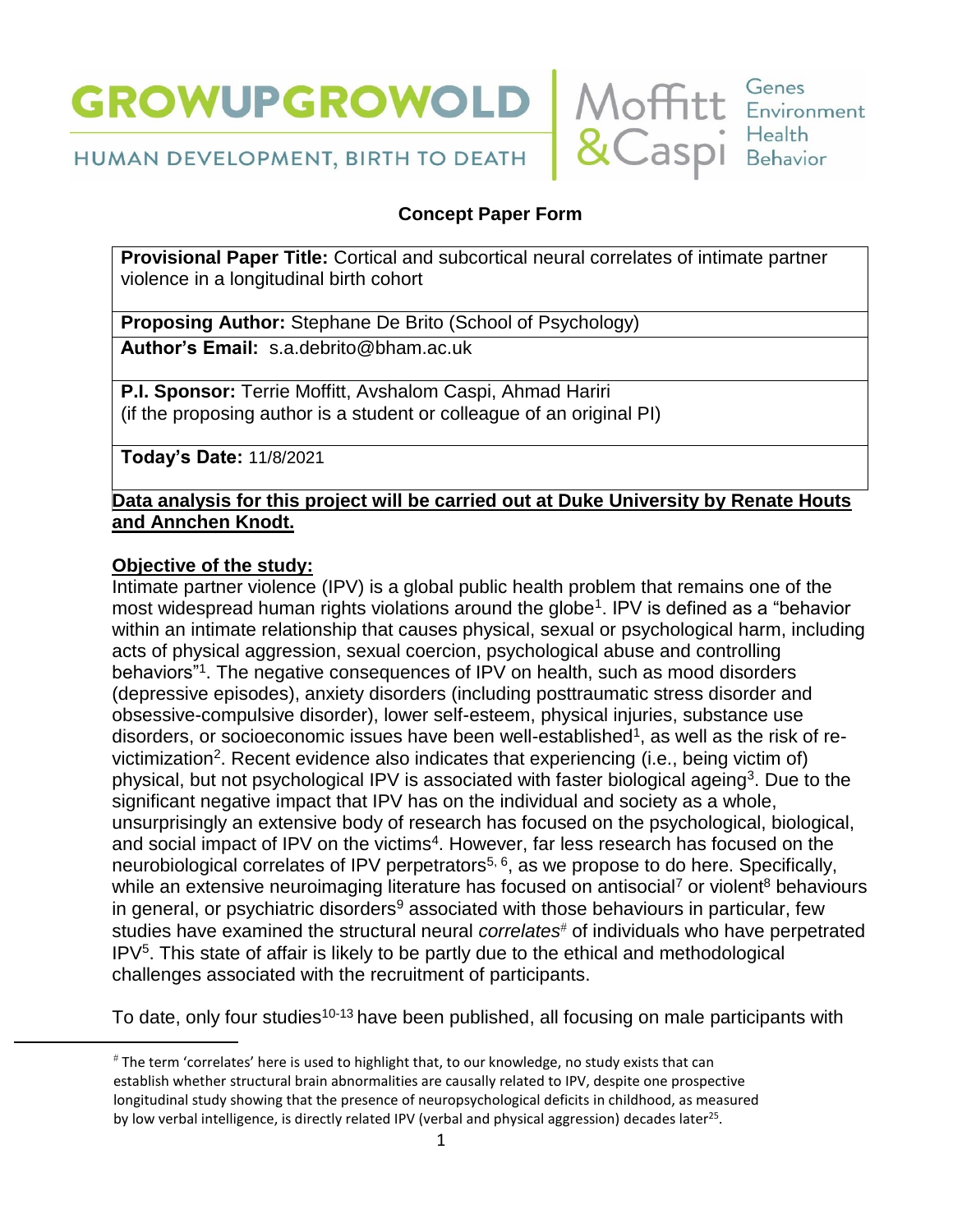



HUMAN DEVELOPMENT, BIRTH TO DEATH

# **Concept Paper Form**

**Provisional Paper Title:** Cortical and subcortical neural correlates of intimate partner violence in a longitudinal birth cohort

**Proposing Author:** Stephane De Brito (School of Psychology)

**Author's Email:** s.a.debrito@bham.ac.uk

**P.I. Sponsor:** Terrie Moffitt, Avshalom Caspi, Ahmad Hariri (if the proposing author is a student or colleague of an original PI)

**Today's Date:** 11/8/2021

## **Data analysis for this project will be carried out at Duke University by Renate Houts and Annchen Knodt.**

## **Objective of the study:**

 $\overline{a}$ 

Intimate partner violence (IPV) is a global public health problem that remains one of the most widespread human rights violations around the globe<sup>1</sup>. IPV is defined as a "behavior within an intimate relationship that causes physical, sexual or psychological harm, including acts of physical aggression, sexual coercion, psychological abuse and controlling behaviors"<sup>1</sup> . The negative consequences of IPV on health, such as mood disorders (depressive episodes), anxiety disorders (including posttraumatic stress disorder and obsessive-compulsive disorder), lower self-esteem, physical injuries, substance use disorders, or socioeconomic issues have been well-established<sup>1</sup>, as well as the risk of revictimization<sup>2</sup>. Recent evidence also indicates that experiencing (i.e., being victim of) physical, but not psychological IPV is associated with faster biological ageing<sup>3</sup>. Due to the significant negative impact that IPV has on the individual and society as a whole, unsurprisingly an extensive body of research has focused on the psychological, biological, and social impact of IPV on the victims<sup>4</sup>. However, far less research has focused on the neurobiological correlates of IPV perpetrators<sup>5, 6</sup>, as we propose to do here. Specifically, while an extensive neuroimaging literature has focused on antisocial<sup>7</sup> or violent<sup>8</sup> behaviours in general, or psychiatric disorders<sup>9</sup> associated with those behaviours in particular, few studies have examined the structural neural *correlates*<sup>#</sup> of individuals who have perpetrated  $IPV<sup>5</sup>$ . This state of affair is likely to be partly due to the ethical and methodological challenges associated with the recruitment of participants.

To date, only four studies<sup>10-13</sup> have been published, all focusing on male participants with

The term 'correlates' here is used to highlight that, to our knowledge, no study exists that can establish whether structural brain abnormalities are causally related to IPV, despite one prospective longitudinal study showing that the presence of neuropsychological deficits in childhood, as measured by low verbal intelligence, is directly related IPV (verbal and physical aggression) decades later<sup>25</sup>.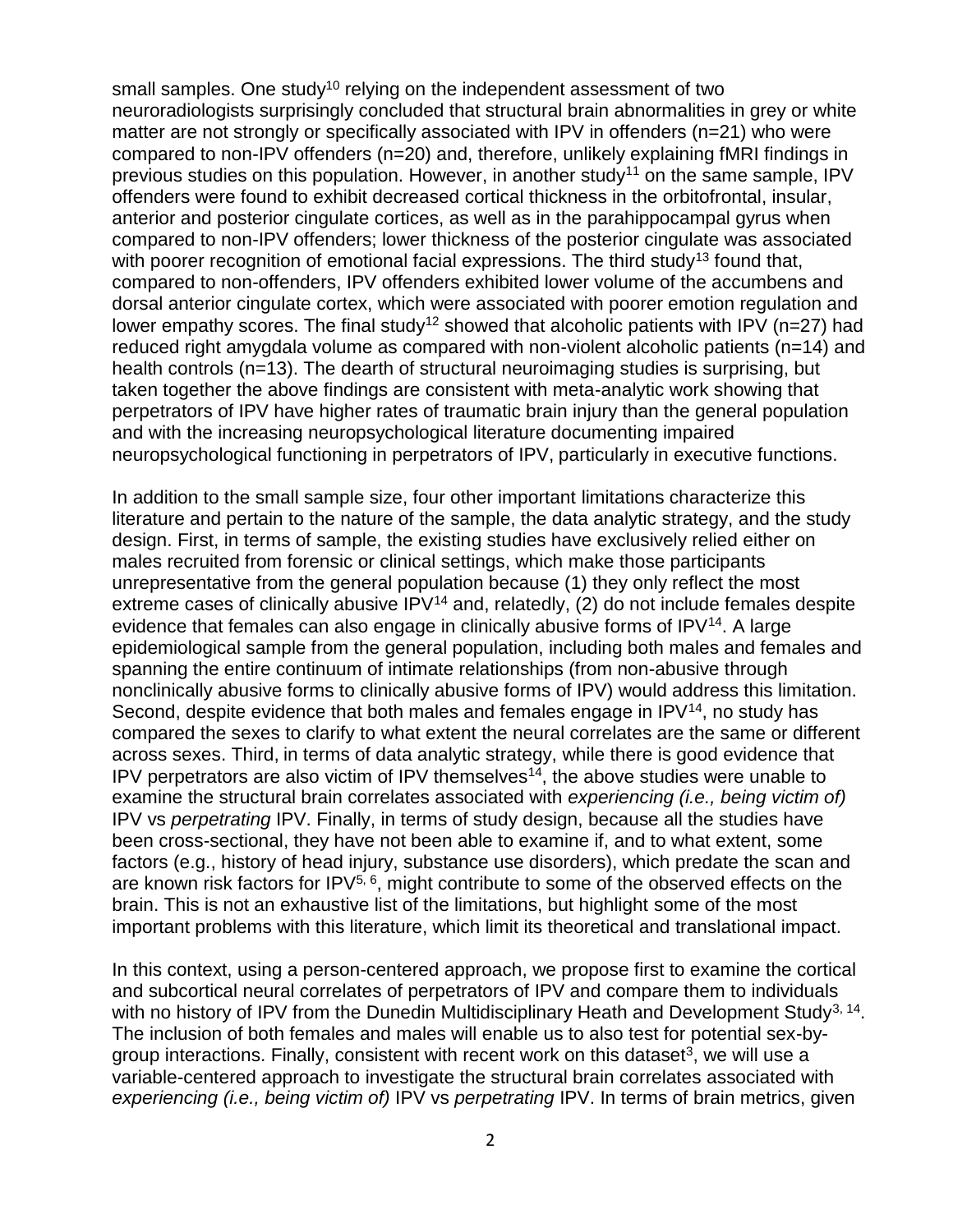small samples. One study<sup>10</sup> relying on the independent assessment of two neuroradiologists surprisingly concluded that structural brain abnormalities in grey or white matter are not strongly or specifically associated with IPV in offenders (n=21) who were compared to non-IPV offenders (n=20) and, therefore, unlikely explaining fMRI findings in previous studies on this population. However, in another study<sup>11</sup> on the same sample, IPV offenders were found to exhibit decreased cortical thickness in the orbitofrontal, insular, anterior and posterior cingulate cortices, as well as in the parahippocampal gyrus when compared to non-IPV offenders; lower thickness of the posterior cingulate was associated with poorer recognition of emotional facial expressions. The third study<sup>13</sup> found that, compared to non-offenders, IPV offenders exhibited lower volume of the accumbens and dorsal anterior cingulate cortex, which were associated with poorer emotion regulation and lower empathy scores. The final study<sup>12</sup> showed that alcoholic patients with IPV (n=27) had reduced right amygdala volume as compared with non-violent alcoholic patients (n=14) and health controls (n=13). The dearth of structural neuroimaging studies is surprising, but taken together the above findings are consistent with meta-analytic work showing that perpetrators of IPV have higher rates of traumatic brain injury than the general population and with the increasing neuropsychological literature documenting impaired neuropsychological functioning in perpetrators of IPV, particularly in executive functions.

In addition to the small sample size, four other important limitations characterize this literature and pertain to the nature of the sample, the data analytic strategy, and the study design. First, in terms of sample, the existing studies have exclusively relied either on males recruited from forensic or clinical settings, which make those participants unrepresentative from the general population because (1) they only reflect the most extreme cases of clinically abusive  $IPV^{14}$  and, relatedly, (2) do not include females despite evidence that females can also engage in clinically abusive forms of  $IPV<sup>14</sup>$ . A large epidemiological sample from the general population, including both males and females and spanning the entire continuum of intimate relationships (from non-abusive through nonclinically abusive forms to clinically abusive forms of IPV) would address this limitation. Second, despite evidence that both males and females engage in  $IPV<sup>14</sup>$ , no study has compared the sexes to clarify to what extent the neural correlates are the same or different across sexes. Third, in terms of data analytic strategy, while there is good evidence that IPV perpetrators are also victim of IPV themselves<sup>14</sup>, the above studies were unable to examine the structural brain correlates associated with *experiencing (i.e., being victim of)* IPV vs *perpetrating* IPV. Finally, in terms of study design, because all the studies have been cross-sectional, they have not been able to examine if, and to what extent, some factors (e.g., history of head injury, substance use disorders), which predate the scan and are known risk factors for  $IPV^{5, 6}$ , might contribute to some of the observed effects on the brain. This is not an exhaustive list of the limitations, but highlight some of the most important problems with this literature, which limit its theoretical and translational impact.

In this context, using a person-centered approach, we propose first to examine the cortical and subcortical neural correlates of perpetrators of IPV and compare them to individuals with no history of IPV from the Dunedin Multidisciplinary Heath and Development Study<sup>3, 14</sup>. The inclusion of both females and males will enable us to also test for potential sex-bygroup interactions. Finally, consistent with recent work on this dataset<sup>3</sup>, we will use a variable-centered approach to investigate the structural brain correlates associated with *experiencing (i.e., being victim of)* IPV vs *perpetrating* IPV. In terms of brain metrics, given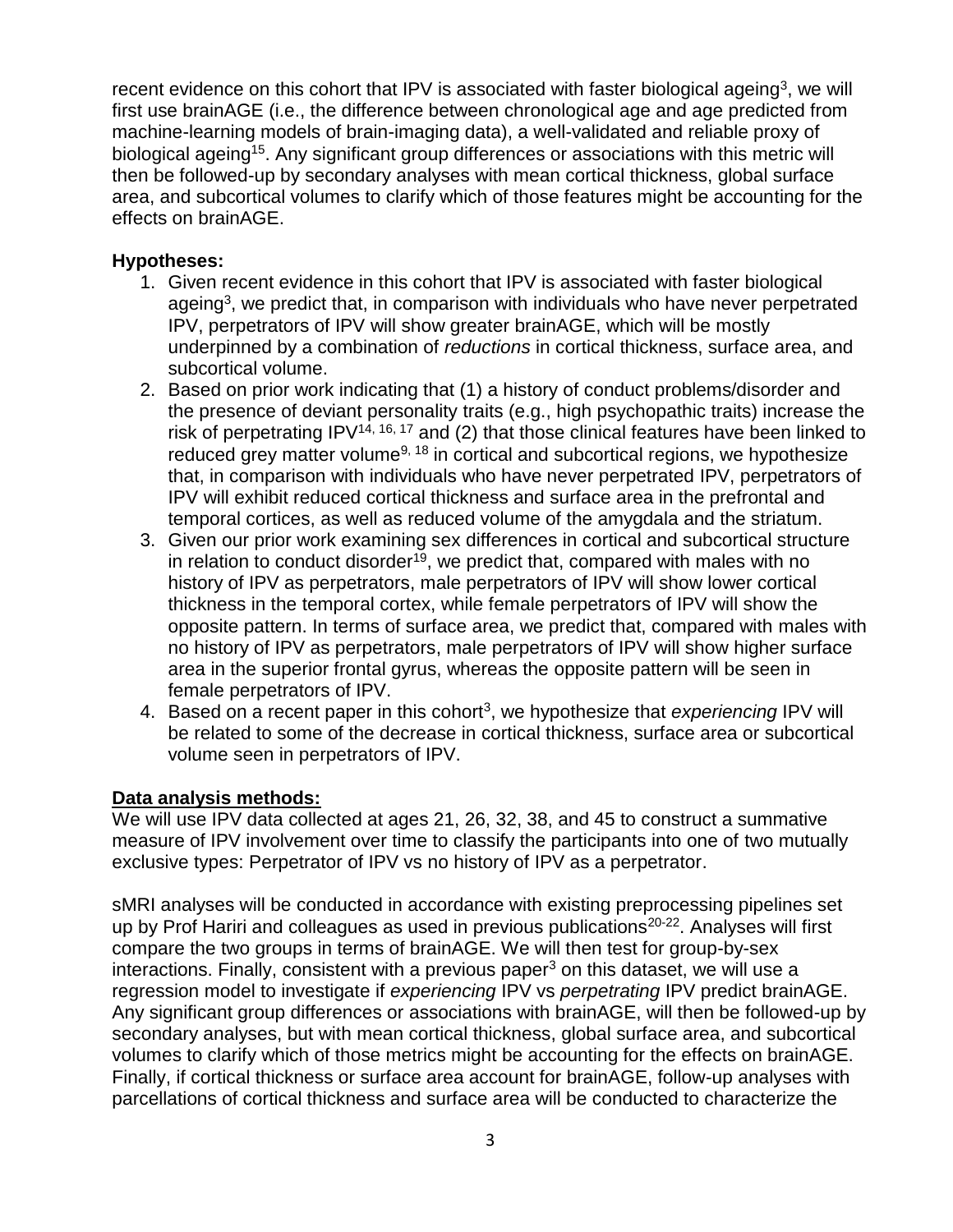recent evidence on this cohort that IPV is associated with faster biological ageing<sup>3</sup>, we will first use brainAGE (i.e., the difference between chronological age and age predicted from machine-learning models of brain-imaging data), a well-validated and reliable proxy of biological ageing<sup>15</sup>. Any significant group differences or associations with this metric will then be followed-up by secondary analyses with mean cortical thickness, global surface area, and subcortical volumes to clarify which of those features might be accounting for the effects on brainAGE.

#### **Hypotheses:**

- 1. Given recent evidence in this cohort that IPV is associated with faster biological ageing<sup>3</sup>, we predict that, in comparison with individuals who have never perpetrated IPV, perpetrators of IPV will show greater brainAGE, which will be mostly underpinned by a combination of *reductions* in cortical thickness, surface area, and subcortical volume.
- 2. Based on prior work indicating that (1) a history of conduct problems/disorder and the presence of deviant personality traits (e.g., high psychopathic traits) increase the risk of perpetrating IPV<sup>14, 16, 17</sup> and (2) that those clinical features have been linked to reduced grey matter volume<sup>9, 18</sup> in cortical and subcortical regions, we hypothesize that, in comparison with individuals who have never perpetrated IPV, perpetrators of IPV will exhibit reduced cortical thickness and surface area in the prefrontal and temporal cortices, as well as reduced volume of the amygdala and the striatum.
- 3. Given our prior work examining sex differences in cortical and subcortical structure in relation to conduct disorder<sup>19</sup>, we predict that, compared with males with no history of IPV as perpetrators, male perpetrators of IPV will show lower cortical thickness in the temporal cortex, while female perpetrators of IPV will show the opposite pattern. In terms of surface area, we predict that, compared with males with no history of IPV as perpetrators, male perpetrators of IPV will show higher surface area in the superior frontal gyrus, whereas the opposite pattern will be seen in female perpetrators of IPV.
- 4. Based on a recent paper in this cohort<sup>3</sup>, we hypothesize that *experiencing* IPV will be related to some of the decrease in cortical thickness, surface area or subcortical volume seen in perpetrators of IPV.

#### **Data analysis methods:**

We will use IPV data collected at ages 21, 26, 32, 38, and 45 to construct a summative measure of IPV involvement over time to classify the participants into one of two mutually exclusive types: Perpetrator of IPV vs no history of IPV as a perpetrator.

sMRI analyses will be conducted in accordance with existing preprocessing pipelines set up by Prof Hariri and colleagues as used in previous publications<sup>20-22</sup>. Analyses will first compare the two groups in terms of brainAGE. We will then test for group-by-sex interactions. Finally, consistent with a previous paper<sup>3</sup> on this dataset, we will use a regression model to investigate if *experiencing* IPV vs *perpetrating* IPV predict brainAGE. Any significant group differences or associations with brainAGE, will then be followed-up by secondary analyses, but with mean cortical thickness, global surface area, and subcortical volumes to clarify which of those metrics might be accounting for the effects on brainAGE. Finally, if cortical thickness or surface area account for brainAGE, follow-up analyses with parcellations of cortical thickness and surface area will be conducted to characterize the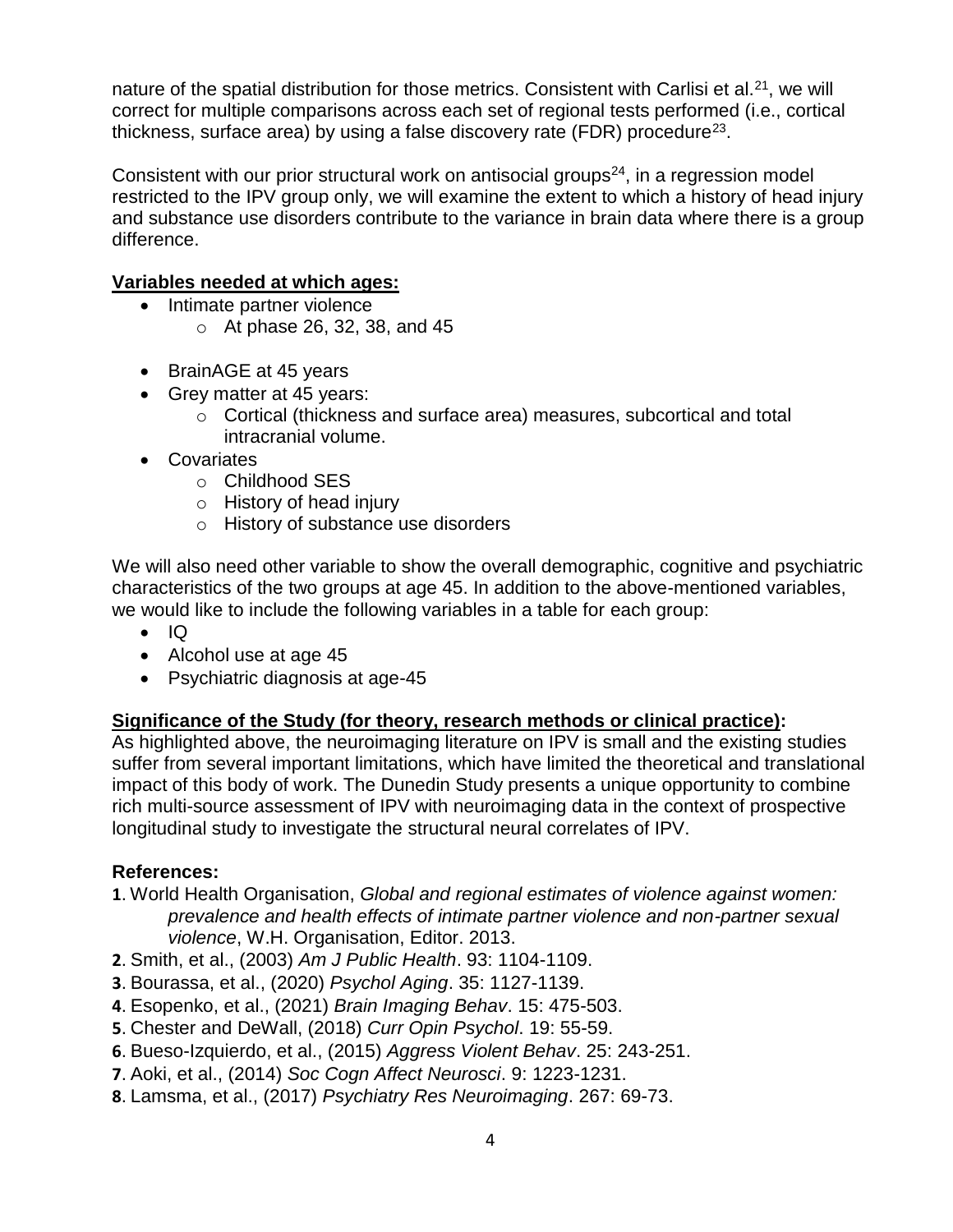nature of the spatial distribution for those metrics. Consistent with Carlisi et al.<sup>21</sup>, we will correct for multiple comparisons across each set of regional tests performed (i.e., cortical thickness, surface area) by using a false discovery rate (FDR) procedure<sup>23</sup>.

Consistent with our prior structural work on antisocial groups $24$ , in a regression model restricted to the IPV group only, we will examine the extent to which a history of head injury and substance use disorders contribute to the variance in brain data where there is a group difference.

## **Variables needed at which ages:**

- Intimate partner violence
	- o At phase 26, 32, 38, and 45
- BrainAGE at 45 years
- Grey matter at 45 years:
	- o Cortical (thickness and surface area) measures, subcortical and total intracranial volume.
- Covariates
	- o Childhood SES
	- o History of head injury
	- o History of substance use disorders

We will also need other variable to show the overall demographic, cognitive and psychiatric characteristics of the two groups at age 45. In addition to the above-mentioned variables, we would like to include the following variables in a table for each group:

- $\bullet$  IQ
- Alcohol use at age 45
- Psychiatric diagnosis at age-45

## **Significance of the Study (for theory, research methods or clinical practice):**

As highlighted above, the neuroimaging literature on IPV is small and the existing studies suffer from several important limitations, which have limited the theoretical and translational impact of this body of work. The Dunedin Study presents a unique opportunity to combine rich multi-source assessment of IPV with neuroimaging data in the context of prospective longitudinal study to investigate the structural neural correlates of IPV.

#### **References:**

- **1**. World Health Organisation, *Global and regional estimates of violence against women: prevalence and health effects of intimate partner violence and non-partner sexual violence*, W.H. Organisation, Editor. 2013.
- **2**. Smith, et al., (2003) *Am J Public Health*. 93: 1104-1109.
- **3**. Bourassa, et al., (2020) *Psychol Aging*. 35: 1127-1139.
- **4**. Esopenko, et al., (2021) *Brain Imaging Behav*. 15: 475-503.
- **5**. Chester and DeWall, (2018) *Curr Opin Psychol*. 19: 55-59.
- **6**. Bueso-Izquierdo, et al., (2015) *Aggress Violent Behav*. 25: 243-251.
- **7**. Aoki, et al., (2014) *Soc Cogn Affect Neurosci*. 9: 1223-1231.
- **8**. Lamsma, et al., (2017) *Psychiatry Res Neuroimaging*. 267: 69-73.